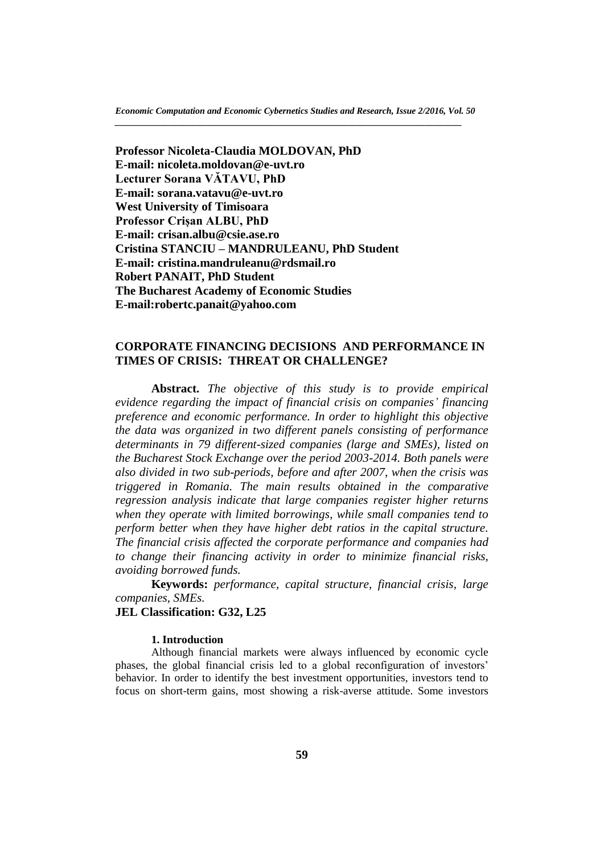**Professor Nicoleta-Claudia MOLDOVAN, PhD E-mail: nicoleta.moldovan@e-uvt.ro Lecturer Sorana VĂTAVU, PhD E-mail: sorana.vatavu@e-uvt.ro West University of Timisoara Professor Crișan ALBU, PhD E-mail: crisan.albu@csie.ase.ro Cristina STANCIU – MANDRULEANU, PhD Student E-mail: cristina.mandruleanu@rdsmail.ro Robert PANAIT, PhD Student The Bucharest Academy of Economic Studies E-mail:robertc.panait@yahoo.com**

# **CORPORATE FINANCING DECISIONS AND PERFORMANCE IN TIMES OF CRISIS: THREAT OR CHALLENGE?**

**Abstract.** *The objective of this study is to provide empirical evidence regarding the impact of financial crisis on companies' financing preference and economic performance. In order to highlight this objective the data was organized in two different panels consisting of performance determinants in 79 different-sized companies (large and SMEs), listed on the Bucharest Stock Exchange over the period 2003-2014. Both panels were also divided in two sub-periods, before and after 2007, when the crisis was triggered in Romania. The main results obtained in the comparative regression analysis indicate that large companies register higher returns when they operate with limited borrowings, while small companies tend to perform better when they have higher debt ratios in the capital structure. The financial crisis affected the corporate performance and companies had to change their financing activity in order to minimize financial risks, avoiding borrowed funds.*

**Keywords:** *performance, capital structure, financial crisis, large companies, SMEs.*

## **JEL Classification: G32, L25**

## **1. Introduction**

Although financial markets were always influenced by economic cycle phases, the global financial crisis led to a global reconfiguration of investors' behavior. In order to identify the best investment opportunities, investors tend to focus on short-term gains, most showing a risk-averse attitude. Some investors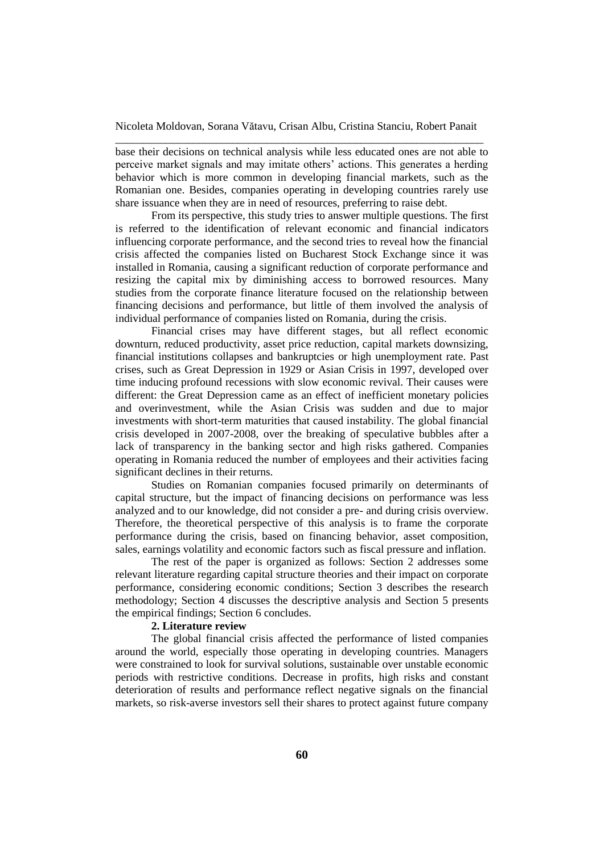base their decisions on technical analysis while less educated ones are not able to perceive market signals and may imitate others' actions. This generates a herding behavior which is more common in developing financial markets, such as the Romanian one. Besides, companies operating in developing countries rarely use share issuance when they are in need of resources, preferring to raise debt.

From its perspective, this study tries to answer multiple questions. The first is referred to the identification of relevant economic and financial indicators influencing corporate performance, and the second tries to reveal how the financial crisis affected the companies listed on Bucharest Stock Exchange since it was installed in Romania, causing a significant reduction of corporate performance and resizing the capital mix by diminishing access to borrowed resources. Many studies from the corporate finance literature focused on the relationship between financing decisions and performance, but little of them involved the analysis of individual performance of companies listed on Romania, during the crisis.

Financial crises may have different stages, but all reflect economic downturn, reduced productivity, asset price reduction, capital markets downsizing, financial institutions collapses and bankruptcies or high unemployment rate. Past crises, such as Great Depression in 1929 or Asian Crisis in 1997, developed over time inducing profound recessions with slow economic revival. Their causes were different: the Great Depression came as an effect of inefficient monetary policies and overinvestment, while the Asian Crisis was sudden and due to major investments with short-term maturities that caused instability. The global financial crisis developed in 2007-2008, over the breaking of speculative bubbles after a lack of transparency in the banking sector and high risks gathered. Companies operating in Romania reduced the number of employees and their activities facing significant declines in their returns.

Studies on Romanian companies focused primarily on determinants of capital structure, but the impact of financing decisions on performance was less analyzed and to our knowledge, did not consider a pre- and during crisis overview. Therefore, the theoretical perspective of this analysis is to frame the corporate performance during the crisis, based on financing behavior, asset composition, sales, earnings volatility and economic factors such as fiscal pressure and inflation.

The rest of the paper is organized as follows: Section 2 addresses some relevant literature regarding capital structure theories and their impact on corporate performance, considering economic conditions; Section 3 describes the research methodology; Section 4 discusses the descriptive analysis and Section 5 presents the empirical findings; Section 6 concludes.

### **2. Literature review**

The global financial crisis affected the performance of listed companies around the world, especially those operating in developing countries. Managers were constrained to look for survival solutions, sustainable over unstable economic periods with restrictive conditions. Decrease in profits, high risks and constant deterioration of results and performance reflect negative signals on the financial markets, so risk-averse investors sell their shares to protect against future company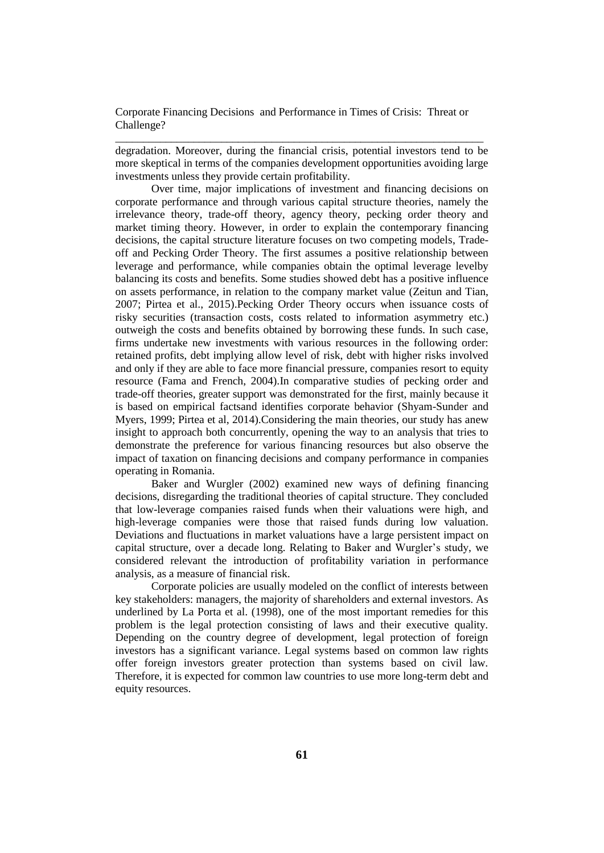degradation. Moreover, during the financial crisis, potential investors tend to be more skeptical in terms of the companies development opportunities avoiding large investments unless they provide certain profitability.

\_\_\_\_\_\_\_\_\_\_\_\_\_\_\_\_\_\_\_\_\_\_\_\_\_\_\_\_\_\_\_\_\_\_\_\_\_\_\_\_\_\_\_\_\_\_\_\_\_\_\_\_\_\_\_\_\_\_\_\_\_\_\_\_\_\_

Over time, major implications of investment and financing decisions on corporate performance and through various capital structure theories, namely the irrelevance theory, trade-off theory, agency theory, pecking order theory and market timing theory. However, in order to explain the contemporary financing decisions, the capital structure literature focuses on two competing models, Tradeoff and Pecking Order Theory. The first assumes a positive relationship between leverage and performance, while companies obtain the optimal leverage levelby balancing its costs and benefits. Some studies showed debt has a positive influence on assets performance, in relation to the company market value (Zeitun and Tian, 2007; Pirtea et al., 2015).Pecking Order Theory occurs when issuance costs of risky securities (transaction costs, costs related to information asymmetry etc.) outweigh the costs and benefits obtained by borrowing these funds. In such case, firms undertake new investments with various resources in the following order: retained profits, debt implying allow level of risk, debt with higher risks involved and only if they are able to face more financial pressure, companies resort to equity resource (Fama and French, 2004).In comparative studies of pecking order and trade-off theories, greater support was demonstrated for the first, mainly because it is based on empirical factsand identifies corporate behavior (Shyam-Sunder and Myers, 1999; Pirtea et al, 2014).Considering the main theories, our study has anew insight to approach both concurrently, opening the way to an analysis that tries to demonstrate the preference for various financing resources but also observe the impact of taxation on financing decisions and company performance in companies operating in Romania.

Baker and Wurgler (2002) examined new ways of defining financing decisions, disregarding the traditional theories of capital structure. They concluded that low-leverage companies raised funds when their valuations were high, and high-leverage companies were those that raised funds during low valuation. Deviations and fluctuations in market valuations have a large persistent impact on capital structure, over a decade long. Relating to Baker and Wurgler's study, we considered relevant the introduction of profitability variation in performance analysis, as a measure of financial risk.

Corporate policies are usually modeled on the conflict of interests between key stakeholders: managers, the majority of shareholders and external investors. As underlined by La Porta et al. (1998), one of the most important remedies for this problem is the legal protection consisting of laws and their executive quality. Depending on the country degree of development, legal protection of foreign investors has a significant variance. Legal systems based on common law rights offer foreign investors greater protection than systems based on civil law. Therefore, it is expected for common law countries to use more long-term debt and equity resources.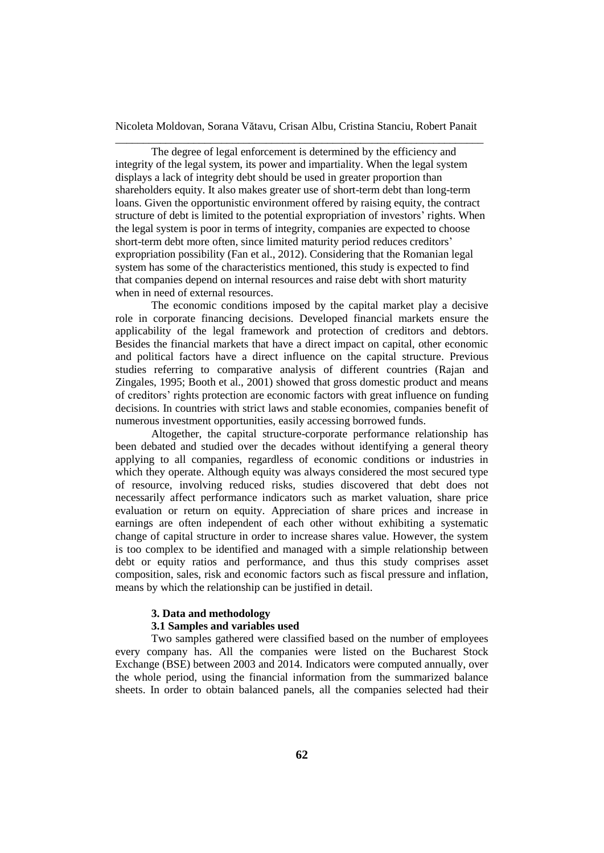The degree of legal enforcement is determined by the efficiency and integrity of the legal system, its power and impartiality. When the legal system displays a lack of integrity debt should be used in greater proportion than shareholders equity. It also makes greater use of short-term debt than long-term loans. Given the opportunistic environment offered by raising equity, the contract structure of debt is limited to the potential expropriation of investors' rights. When the legal system is poor in terms of integrity, companies are expected to choose short-term debt more often, since limited maturity period reduces creditors' expropriation possibility (Fan et al., 2012). Considering that the Romanian legal system has some of the characteristics mentioned, this study is expected to find that companies depend on internal resources and raise debt with short maturity when in need of external resources.

The economic conditions imposed by the capital market play a decisive role in corporate financing decisions. Developed financial markets ensure the applicability of the legal framework and protection of creditors and debtors. Besides the financial markets that have a direct impact on capital, other economic and political factors have a direct influence on the capital structure. Previous studies referring to comparative analysis of different countries (Rajan and Zingales, 1995; Booth et al., 2001) showed that gross domestic product and means of creditors' rights protection are economic factors with great influence on funding decisions. In countries with strict laws and stable economies, companies benefit of numerous investment opportunities, easily accessing borrowed funds.

Altogether, the capital structure-corporate performance relationship has been debated and studied over the decades without identifying a general theory applying to all companies, regardless of economic conditions or industries in which they operate. Although equity was always considered the most secured type of resource, involving reduced risks, studies discovered that debt does not necessarily affect performance indicators such as market valuation, share price evaluation or return on equity. Appreciation of share prices and increase in earnings are often independent of each other without exhibiting a systematic change of capital structure in order to increase shares value. However, the system is too complex to be identified and managed with a simple relationship between debt or equity ratios and performance, and thus this study comprises asset composition, sales, risk and economic factors such as fiscal pressure and inflation, means by which the relationship can be justified in detail.

#### **3. Data and methodology**

## **3.1 Samples and variables used**

Two samples gathered were classified based on the number of employees every company has. All the companies were listed on the Bucharest Stock Exchange (BSE) between 2003 and 2014. Indicators were computed annually, over the whole period, using the financial information from the summarized balance sheets. In order to obtain balanced panels, all the companies selected had their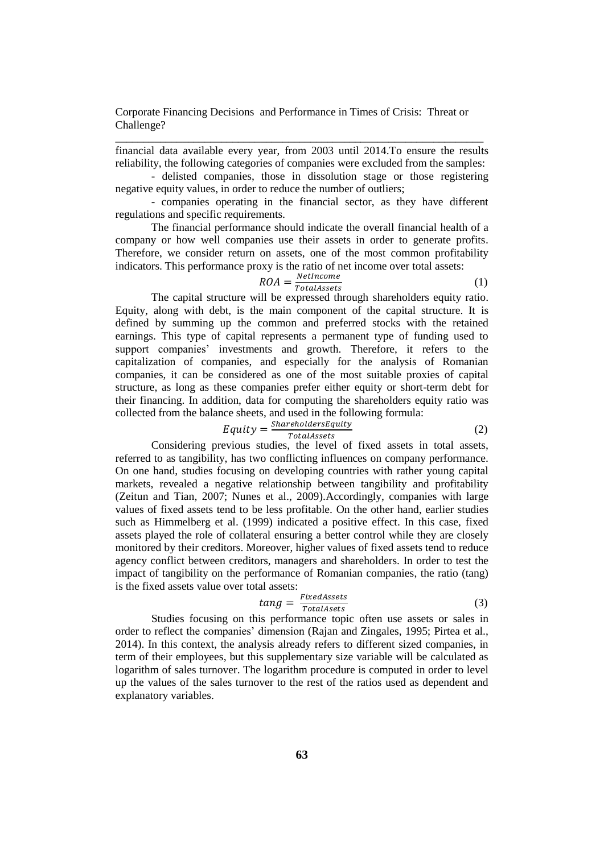financial data available every year, from 2003 until 2014.To ensure the results reliability, the following categories of companies were excluded from the samples:

\_\_\_\_\_\_\_\_\_\_\_\_\_\_\_\_\_\_\_\_\_\_\_\_\_\_\_\_\_\_\_\_\_\_\_\_\_\_\_\_\_\_\_\_\_\_\_\_\_\_\_\_\_\_\_\_\_\_\_\_\_\_\_\_\_\_

- delisted companies, those in dissolution stage or those registering negative equity values, in order to reduce the number of outliers;

- companies operating in the financial sector, as they have different regulations and specific requirements.

The financial performance should indicate the overall financial health of a company or how well companies use their assets in order to generate profits. Therefore, we consider return on assets, one of the most common profitability indicators. This performance proxy is the ratio of net income over total assets:

$$
ROA = \frac{Net Income}{TotalAssets} \tag{1}
$$

The capital structure will be expressed through shareholders equity ratio. Equity, along with debt, is the main component of the capital structure. It is defined by summing up the common and preferred stocks with the retained earnings. This type of capital represents a permanent type of funding used to support companies' investments and growth. Therefore, it refers to the capitalization of companies, and especially for the analysis of Romanian companies, it can be considered as one of the most suitable proxies of capital structure, as long as these companies prefer either equity or short-term debt for their financing. In addition, data for computing the shareholders equity ratio was collected from the balance sheets, and used in the following formula:

$$
Equity = \frac{ShareholdersEquity}{TotalAssets} \tag{2}
$$

Considering previous studies, the level of fixed assets in total assets, referred to as tangibility, has two conflicting influences on company performance. On one hand, studies focusing on developing countries with rather young capital markets, revealed a negative relationship between tangibility and profitability (Zeitun and Tian, 2007; Nunes et al., 2009).Accordingly, companies with large values of fixed assets tend to be less profitable. On the other hand, earlier studies such as Himmelberg et al. (1999) indicated a positive effect. In this case, fixed assets played the role of collateral ensuring a better control while they are closely monitored by their creditors. Moreover, higher values of fixed assets tend to reduce agency conflict between creditors, managers and shareholders. In order to test the impact of tangibility on the performance of Romanian companies, the ratio (tang) is the fixed assets value over total assets:

$$
tang = \frac{FixedAssets}{TotalAssets} \tag{3}
$$

Studies focusing on this performance topic often use assets or sales in order to reflect the companies' dimension (Rajan and Zingales, 1995; Pirtea et al., 2014). In this context, the analysis already refers to different sized companies, in term of their employees, but this supplementary size variable will be calculated as logarithm of sales turnover. The logarithm procedure is computed in order to level up the values of the sales turnover to the rest of the ratios used as dependent and explanatory variables.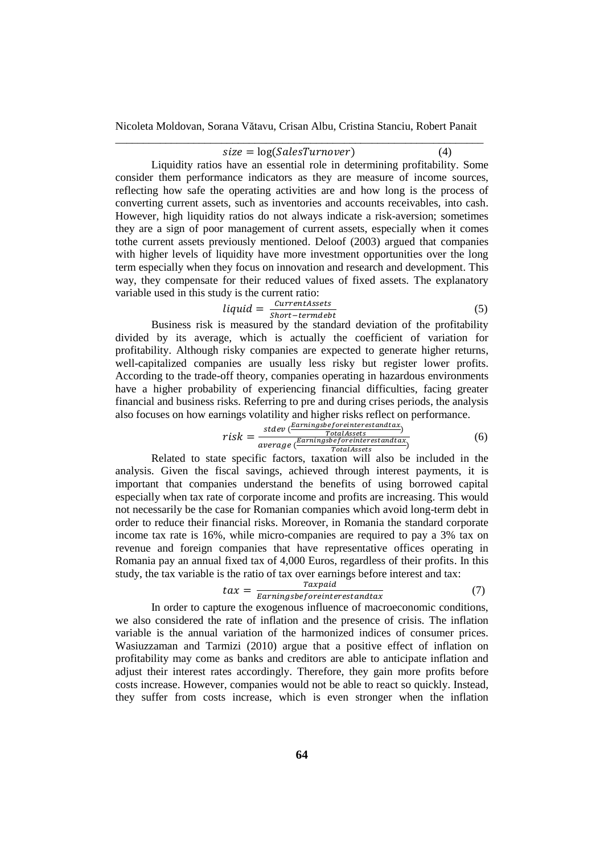# $size = log(SalesTurnover)$  (4)

Liquidity ratios have an essential role in determining profitability. Some consider them performance indicators as they are measure of income sources, reflecting how safe the operating activities are and how long is the process of converting current assets, such as inventories and accounts receivables, into cash. However, high liquidity ratios do not always indicate a risk-aversion; sometimes they are a sign of poor management of current assets, especially when it comes tothe current assets previously mentioned. Deloof (2003) argued that companies with higher levels of liquidity have more investment opportunities over the long term especially when they focus on innovation and research and development. This way, they compensate for their reduced values of fixed assets. The explanatory variable used in this study is the current ratio:

$$
liquid = \frac{CurrentAssets}{Short-termdebt}
$$
 (5)

 $\frac{Short-termdebt}{Short-termdebt}$ <br>Business risk is measured by the standard deviation of the profitability divided by its average, which is actually the coefficient of variation for profitability. Although risky companies are expected to generate higher returns, well-capitalized companies are usually less risky but register lower profits. According to the trade-off theory, companies operating in hazardous environments have a higher probability of experiencing financial difficulties, facing greater financial and business risks. Referring to pre and during crises periods, the analysis also focuses on how earnings volatility and higher risks reflect on performance.

$$
risk = \frac{stdev(\frac{Earningsbeforeinterestandtax)}{TotalAssets})}{average(\frac{Earningsbeforeinterestandtax}{TotalAssets})}
$$
(6)

Related to state specific factors, taxation will also be included in the analysis. Given the fiscal savings, achieved through interest payments, it is important that companies understand the benefits of using borrowed capital especially when tax rate of corporate income and profits are increasing. This would not necessarily be the case for Romanian companies which avoid long-term debt in order to reduce their financial risks. Moreover, in Romania the standard corporate income tax rate is 16%, while micro-companies are required to pay a 3% tax on revenue and foreign companies that have representative offices operating in Romania pay an annual fixed tax of 4,000 Euros, regardless of their profits. In this study, the tax variable is the ratio of tax over earnings before interest and tax:

$$
tax = \frac{Taxpaid}{Earningsbeforeinterestandtax}
$$
 (7)

In order to capture the exogenous influence of macroeconomic conditions, we also considered the rate of inflation and the presence of crisis. The inflation variable is the annual variation of the harmonized indices of consumer prices. Wasiuzzaman and Tarmizi (2010) argue that a positive effect of inflation on profitability may come as banks and creditors are able to anticipate inflation and adjust their interest rates accordingly. Therefore, they gain more profits before costs increase. However, companies would not be able to react so quickly. Instead, they suffer from costs increase, which is even stronger when the inflation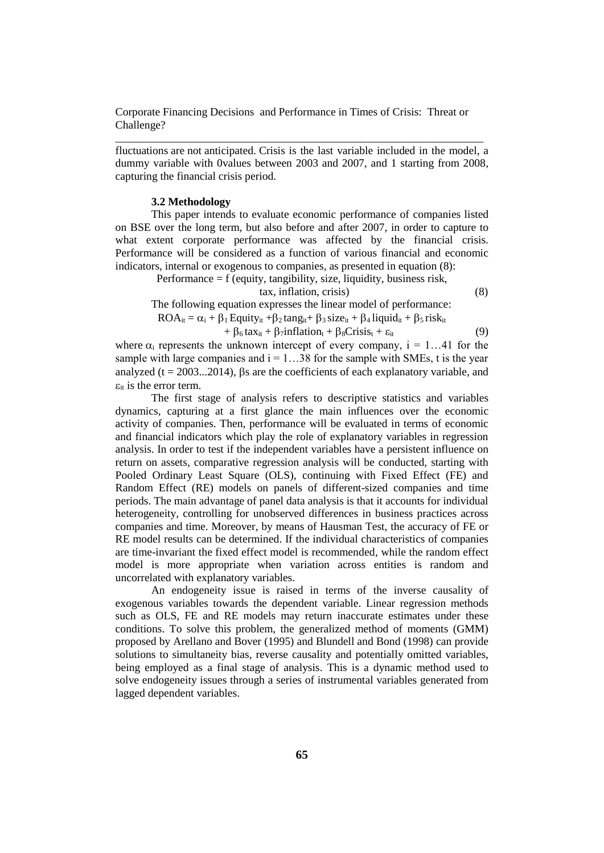fluctuations are not anticipated. Crisis is the last variable included in the model, a dummy variable with 0values between 2003 and 2007, and 1 starting from 2008, capturing the financial crisis period.

\_\_\_\_\_\_\_\_\_\_\_\_\_\_\_\_\_\_\_\_\_\_\_\_\_\_\_\_\_\_\_\_\_\_\_\_\_\_\_\_\_\_\_\_\_\_\_\_\_\_\_\_\_\_\_\_\_\_\_\_\_\_\_\_\_\_

#### **3.2 Methodology**

This paper intends to evaluate economic performance of companies listed on BSE over the long term, but also before and after 2007, in order to capture to what extent corporate performance was affected by the financial crisis. Performance will be considered as a function of various financial and economic indicators, internal or exogenous to companies, as presented in equation (8):

Performance = f (equity, tangibility, size, liquidity, business risk,

tax, inflation, crisis) (8)

The following equation expresses the linear model of performance:

 $ROA_{it} = \alpha_i + \beta_1$  Equity<sub>it</sub> +  $\beta_2$  tang<sub>it</sub> +  $\beta_3$  size<sub>it</sub> +  $\beta_4$  liquid<sub>it</sub> +  $\beta_5$  risk<sub>it</sub>

$$
+\beta_6 \text{tax}_{it} + \beta_7 \text{inflation}_{t} + \beta_8 \text{Crisis}_{t} + \varepsilon_{it}
$$
\n(9)

where  $\alpha_i$  represents the unknown intercept of every company,  $i = 1...41$  for the sample with large companies and  $i = 1...38$  for the sample with SMEs, t is the year analyzed ( $t = 2003...2014$ ). Bs are the coefficients of each explanatory variable, and  $\varepsilon_{it}$  is the error term.

The first stage of analysis refers to descriptive statistics and variables dynamics, capturing at a first glance the main influences over the economic activity of companies. Then, performance will be evaluated in terms of economic and financial indicators which play the role of explanatory variables in regression analysis. In order to test if the independent variables have a persistent influence on return on assets, comparative regression analysis will be conducted, starting with Pooled Ordinary Least Square (OLS), continuing with Fixed Effect (FE) and Random Effect (RE) models on panels of different-sized companies and time periods. The main advantage of panel data analysis is that it accounts for individual heterogeneity, controlling for unobserved differences in business practices across companies and time. Moreover, by means of Hausman Test, the accuracy of FE or RE model results can be determined. If the individual characteristics of companies are time-invariant the fixed effect model is recommended, while the random effect model is more appropriate when variation across entities is random and uncorrelated with explanatory variables.

An endogeneity issue is raised in terms of the inverse causality of exogenous variables towards the dependent variable. Linear regression methods such as OLS, FE and RE models may return inaccurate estimates under these conditions. To solve this problem, the generalized method of moments (GMM) proposed by Arellano and Bover (1995) and Blundell and Bond (1998) can provide solutions to simultaneity bias, reverse causality and potentially omitted variables, being employed as a final stage of analysis. This is a dynamic method used to solve endogeneity issues through a series of instrumental variables generated from lagged dependent variables.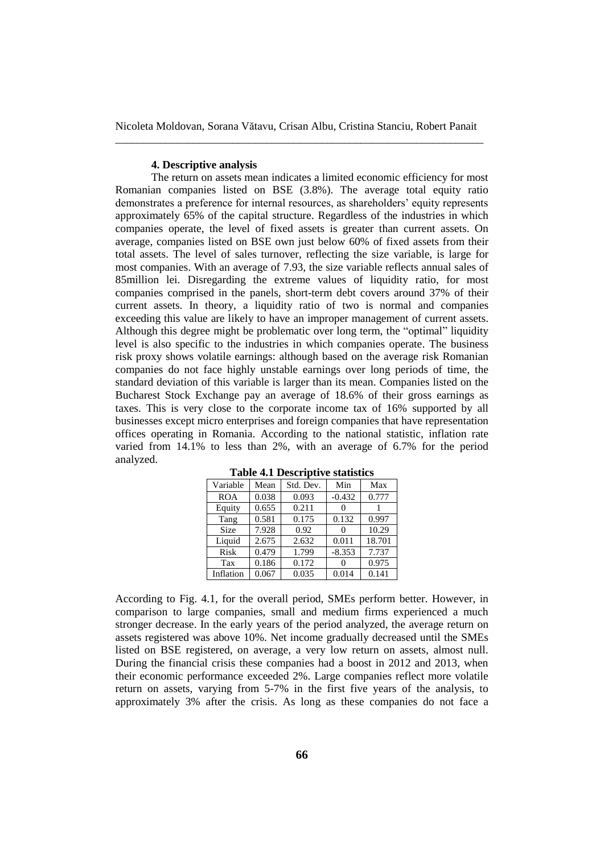#### **4. Descriptive analysis**

The return on assets mean indicates a limited economic efficiency for most Romanian companies listed on BSE (3.8%). The average total equity ratio demonstrates a preference for internal resources, as shareholders' equity represents approximately 65% of the capital structure. Regardless of the industries in which companies operate, the level of fixed assets is greater than current assets. On average, companies listed on BSE own just below 60% of fixed assets from their total assets. The level of sales turnover, reflecting the size variable, is large for most companies. With an average of 7.93, the size variable reflects annual sales of 85million lei. Disregarding the extreme values of liquidity ratio, for most companies comprised in the panels, short-term debt covers around 37% of their current assets. In theory, a liquidity ratio of two is normal and companies exceeding this value are likely to have an improper management of current assets. Although this degree might be problematic over long term, the "optimal" liquidity level is also specific to the industries in which companies operate. The business risk proxy shows volatile earnings: although based on the average risk Romanian companies do not face highly unstable earnings over long periods of time, the standard deviation of this variable is larger than its mean. Companies listed on the Bucharest Stock Exchange pay an average of 18.6% of their gross earnings as taxes. This is very close to the corporate income tax of 16% supported by all businesses except micro enterprises and foreign companies that have representation offices operating in Romania. According to the national statistic, inflation rate varied from 14.1% to less than 2%, with an average of 6.7% for the period analyzed.

| Variable    | Mean  | Std. Dev. | Min      | Max    |
|-------------|-------|-----------|----------|--------|
| <b>ROA</b>  | 0.038 | 0.093     | $-0.432$ | 0.777  |
| Equity      | 0.655 | 0.211     |          |        |
| Tang        | 0.581 | 0.175     | 0.132    | 0.997  |
| <b>Size</b> | 7.928 | 0.92      |          | 10.29  |
| Liquid      | 2.675 | 2.632     | 0.011    | 18.701 |
| Risk        | 0.479 | 1.799     | $-8.353$ | 7.737  |
| Tax         | 0.186 | 0.172     |          | 0.975  |
| Inflation   | 0.067 | 0.035     | 0.014    | 0.141  |

**Table 4.1 Descriptive statistics**

According to Fig. 4.1, for the overall period, SMEs perform better. However, in comparison to large companies, small and medium firms experienced a much stronger decrease. In the early years of the period analyzed, the average return on assets registered was above 10%. Net income gradually decreased until the SMEs listed on BSE registered, on average, a very low return on assets, almost null. During the financial crisis these companies had a boost in 2012 and 2013, when their economic performance exceeded 2%. Large companies reflect more volatile return on assets, varying from 5-7% in the first five years of the analysis, to approximately 3% after the crisis. As long as these companies do not face a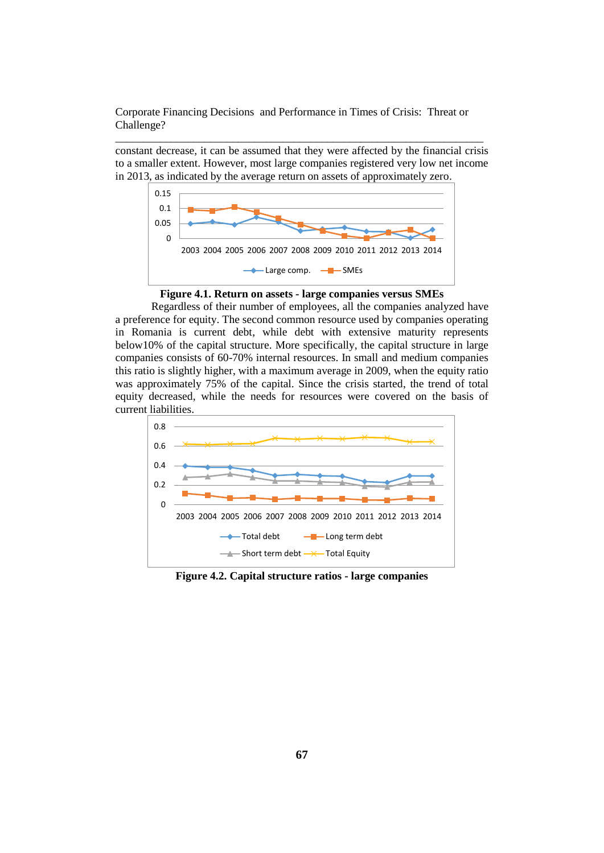constant decrease, it can be assumed that they were affected by the financial crisis to a smaller extent. However, most large companies registered very low net income in 2013, as indicated by the average return on assets of approximately zero.

\_\_\_\_\_\_\_\_\_\_\_\_\_\_\_\_\_\_\_\_\_\_\_\_\_\_\_\_\_\_\_\_\_\_\_\_\_\_\_\_\_\_\_\_\_\_\_\_\_\_\_\_\_\_\_\_\_\_\_\_\_\_\_\_\_\_



**Figure 4.1. Return on assets - large companies versus SMEs**

Regardless of their number of employees, all the companies analyzed have a preference for equity. The second common resource used by companies operating in Romania is current debt, while debt with extensive maturity represents below10% of the capital structure. More specifically, the capital structure in large companies consists of 60-70% internal resources. In small and medium companies this ratio is slightly higher, with a maximum average in 2009, when the equity ratio was approximately 75% of the capital. Since the crisis started, the trend of total equity decreased, while the needs for resources were covered on the basis of current liabilities.



**Figure 4.2. Capital structure ratios - large companies**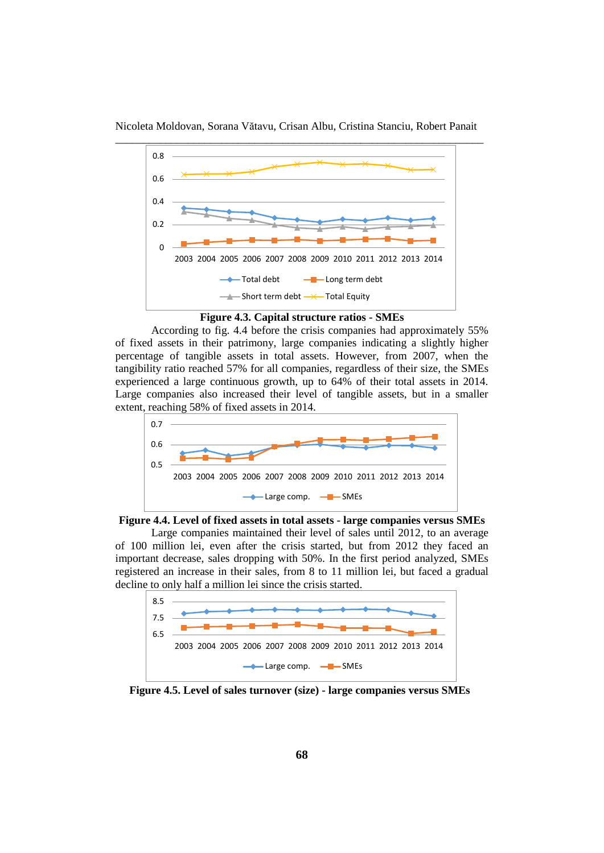

Nicoleta Moldovan, Sorana Vătavu, Crisan Albu, Cristina Stanciu, Robert Panait

**Figure 4.3. Capital structure ratios - SMEs**

According to fig. 4.4 before the crisis companies had approximately 55% of fixed assets in their patrimony, large companies indicating a slightly higher percentage of tangible assets in total assets. However, from 2007, when the tangibility ratio reached 57% for all companies, regardless of their size, the SMEs experienced a large continuous growth, up to 64% of their total assets in 2014. Large companies also increased their level of tangible assets, but in a smaller extent, reaching 58% of fixed assets in 2014.



**Figure 4.4. Level of fixed assets in total assets - large companies versus SMEs**

Large companies maintained their level of sales until 2012, to an average of 100 million lei, even after the crisis started, but from 2012 they faced an important decrease, sales dropping with 50%. In the first period analyzed, SMEs registered an increase in their sales, from 8 to 11 million lei, but faced a gradual decline to only half a million lei since the crisis started.



 **Figure 4.5. Level of sales turnover (size) - large companies versus SMEs**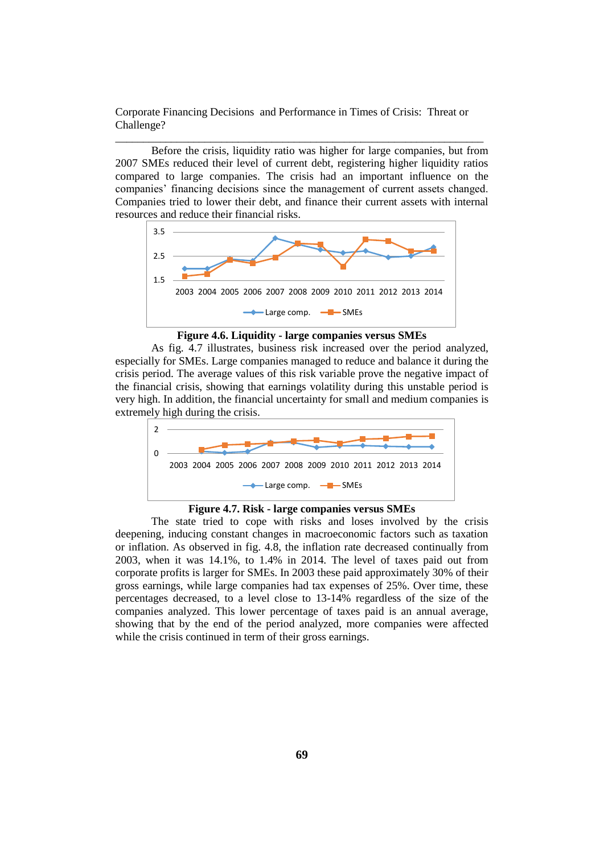\_\_\_\_\_\_\_\_\_\_\_\_\_\_\_\_\_\_\_\_\_\_\_\_\_\_\_\_\_\_\_\_\_\_\_\_\_\_\_\_\_\_\_\_\_\_\_\_\_\_\_\_\_\_\_\_\_\_\_\_\_\_\_\_\_\_

Before the crisis, liquidity ratio was higher for large companies, but from 2007 SMEs reduced their level of current debt, registering higher liquidity ratios compared to large companies. The crisis had an important influence on the companies' financing decisions since the management of current assets changed. Companies tried to lower their debt, and finance their current assets with internal resources and reduce their financial risks.





As fig. 4.7 illustrates, business risk increased over the period analyzed, especially for SMEs. Large companies managed to reduce and balance it during the crisis period. The average values of this risk variable prove the negative impact of the financial crisis, showing that earnings volatility during this unstable period is very high. In addition, the financial uncertainty for small and medium companies is extremely high during the crisis.



**Figure 4.7. Risk - large companies versus SMEs**

The state tried to cope with risks and loses involved by the crisis deepening, inducing constant changes in macroeconomic factors such as taxation or inflation. As observed in fig. 4.8, the inflation rate decreased continually from 2003, when it was 14.1%, to 1.4% in 2014. The level of taxes paid out from corporate profits is larger for SMEs. In 2003 these paid approximately 30% of their gross earnings, while large companies had tax expenses of 25%. Over time, these percentages decreased, to a level close to 13-14% regardless of the size of the companies analyzed. This lower percentage of taxes paid is an annual average, showing that by the end of the period analyzed, more companies were affected while the crisis continued in term of their gross earnings.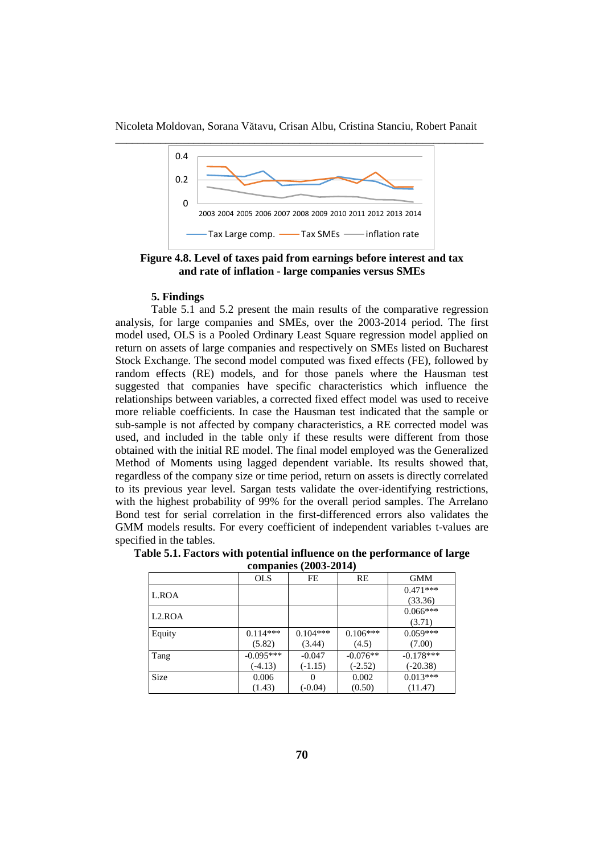

**Figure 4.8. Level of taxes paid from earnings before interest and tax and rate of inflation - large companies versus SMEs**

#### **5. Findings**

Table 5.1 and 5.2 present the main results of the comparative regression analysis, for large companies and SMEs, over the 2003-2014 period. The first model used, OLS is a Pooled Ordinary Least Square regression model applied on return on assets of large companies and respectively on SMEs listed on Bucharest Stock Exchange. The second model computed was fixed effects (FE), followed by random effects (RE) models, and for those panels where the Hausman test suggested that companies have specific characteristics which influence the relationships between variables, a corrected fixed effect model was used to receive more reliable coefficients. In case the Hausman test indicated that the sample or sub-sample is not affected by company characteristics, a RE corrected model was used, and included in the table only if these results were different from those obtained with the initial RE model. The final model employed was the Generalized Method of Moments using lagged dependent variable. Its results showed that, regardless of the company size or time period, return on assets is directly correlated to its previous year level. Sargan tests validate the over-identifying restrictions, with the highest probability of 99% for the overall period samples. The Arrelano Bond test for serial correlation in the first-differenced errors also validates the GMM models results. For every coefficient of independent variables t-values are specified in the tables.

|                     | <b>OLS</b>  | FE         | RE         | <b>GMM</b>  |
|---------------------|-------------|------------|------------|-------------|
| L.ROA               |             |            |            | $0.471***$  |
|                     |             |            |            | (33.36)     |
| L <sub>2</sub> .ROA |             |            |            | $0.066***$  |
|                     |             |            |            | (3.71)      |
| Equity              | $0.114***$  | $0.104***$ | $0.106***$ | $0.059***$  |
|                     | (5.82)      | (3.44)     | (4.5)      | (7.00)      |
| Tang                | $-0.095***$ | $-0.047$   | $-0.076**$ | $-0.178***$ |
|                     | $(-4.13)$   | $(-1.15)$  | $(-2.52)$  | $(-20.38)$  |
| Size                | 0.006       |            | 0.002      | $0.013***$  |
|                     | (1.43)      | $(-0.04)$  | (0.50)     | (11.47)     |

|                       | Table 5.1. Factors with potential influence on the performance of large |
|-----------------------|-------------------------------------------------------------------------|
| companies (2003-2014) |                                                                         |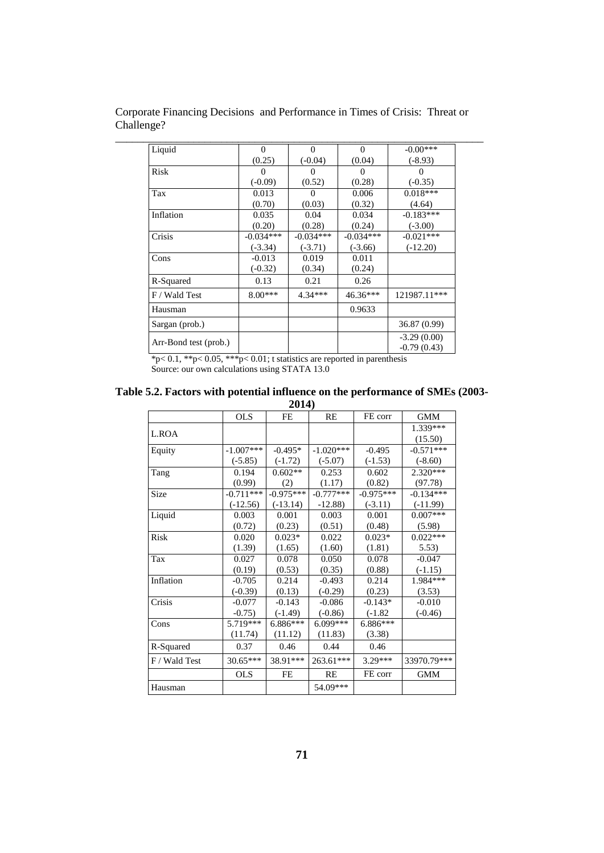| Liquid                | $\Omega$    | $\Omega$    | $\Omega$    | $-0.00***$    |
|-----------------------|-------------|-------------|-------------|---------------|
|                       | (0.25)      | $(-0.04)$   | (0.04)      | $(-8.93)$     |
| Risk                  | 0           | $\Omega$    | $\Omega$    | 0             |
|                       | $(-0.09)$   | (0.52)      | (0.28)      | $(-0.35)$     |
| Tax                   | 0.013       | $\Omega$    | 0.006       | $0.018***$    |
|                       | (0.70)      | (0.03)      | (0.32)      | (4.64)        |
| Inflation             | 0.035       | 0.04        | 0.034       | $-0.183***$   |
|                       | (0.20)      | (0.28)      | (0.24)      | $(-3.00)$     |
| Crisis                | $-0.034***$ | $-0.034***$ | $-0.034***$ | $-0.021***$   |
|                       | $(-3.34)$   | $(-3.71)$   | $(-3.66)$   | $(-12.20)$    |
| Cons                  | $-0.013$    | 0.019       | 0.011       |               |
|                       | $(-0.32)$   | (0.34)      | (0.24)      |               |
| R-Squared             | 0.13        | 0.21        | 0.26        |               |
| F / Wald Test         | $8.00***$   | $4.34***$   | 46.36***    | 121987.11***  |
| Hausman               |             |             | 0.9633      |               |
| Sargan (prob.)        |             |             |             | 36.87 (0.99)  |
|                       |             |             |             | $-3.29(0.00)$ |
| Arr-Bond test (prob.) |             |             |             | $-0.79(0.43)$ |

Corporate Financing Decisions and Performance in Times of Crisis: Threat or Challenge?

 $*p< 0.1$ ,  $*p< 0.05$ ,  $**p< 0.01$ ; t statistics are reported in parenthesis Source: our own calculations using STATA 13.0

| Table 5.2. Factors with potential influence on the performance of SMEs (2003- |
|-------------------------------------------------------------------------------|
| 2014)                                                                         |

|               |             | 401 T       |             |             |             |
|---------------|-------------|-------------|-------------|-------------|-------------|
|               | <b>OLS</b>  | FE          | RE          | FE corr     | <b>GMM</b>  |
| L.ROA         |             |             |             |             | 1.339***    |
|               |             |             |             |             | (15.50)     |
| Equity        | $-1.007***$ | $-0.495*$   | $-1.020***$ | $-0.495$    | $-0.571***$ |
|               | $(-5.85)$   | $(-1.72)$   | $(-5.07)$   | $(-1.53)$   | $(-8.60)$   |
| Tang          | 0.194       | $0.602**$   | 0.253       | 0.602       | 2.320***    |
|               | (0.99)      | (2)         | (1.17)      | (0.82)      | (97.78)     |
| Size          | $-0.711***$ | $-0.975***$ | $-0.777***$ | $-0.975***$ | $-0.134***$ |
|               | $(-12.56)$  | $(-13.14)$  | $-12.88$    | $(-3.11)$   | $(-11.99)$  |
| Liquid        | 0.003       | 0.001       | 0.003       | 0.001       | $0.007***$  |
|               | (0.72)      | (0.23)      | (0.51)      | (0.48)      | (5.98)      |
| Risk          | 0.020       | $0.023*$    | 0.022       | $0.023*$    | $0.022***$  |
|               | (1.39)      | (1.65)      | (1.60)      | (1.81)      | 5.53)       |
| Tax           | 0.027       | 0.078       | 0.050       | 0.078       | $-0.047$    |
|               | (0.19)      | (0.53)      | (0.35)      | (0.88)      | $(-1.15)$   |
| Inflation     | $-0.705$    | 0.214       | $-0.493$    | 0.214       | $1.984***$  |
|               | $(-0.39)$   | (0.13)      | $(-0.29)$   | (0.23)      | (3.53)      |
| Crisis        | $-0.077$    | $-0.143$    | $-0.086$    | $-0.143*$   | $-0.010$    |
|               | $-0.75$     | $(-1.49)$   | $(-0.86)$   | $(-1.82)$   | $(-0.46)$   |
| Cons          | 5.719***    | 6.886***    | $6.099***$  | $6.886***$  |             |
|               | (11.74)     | (11.12)     | (11.83)     | (3.38)      |             |
| R-Squared     | 0.37        | 0.46        | 0.44        | 0.46        |             |
| F / Wald Test | $30.65***$  | 38.91***    | 263.61***   | 3.29***     | 33970.79*** |
|               | <b>OLS</b>  | FE          | RE          | FE corr     | <b>GMM</b>  |
| Hausman       |             |             | 54.09***    |             |             |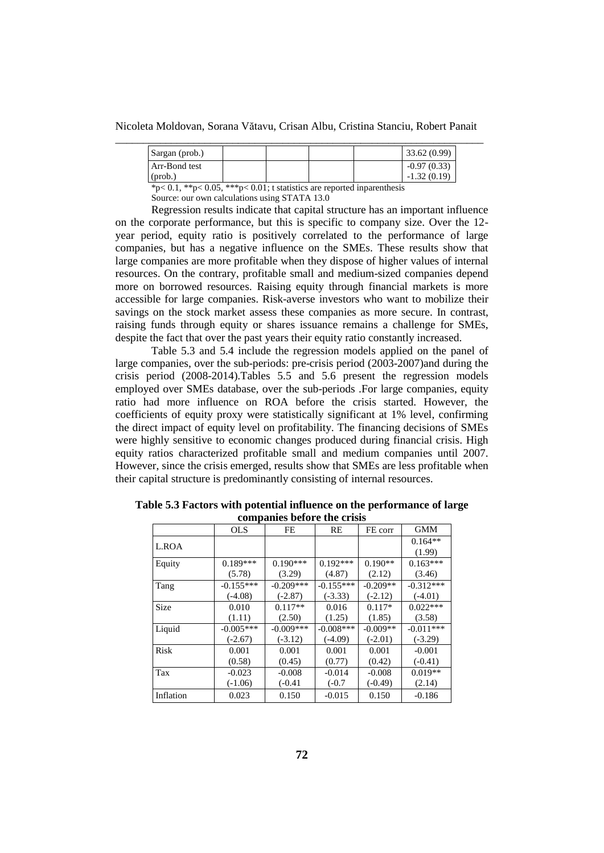Nicoleta Moldovan, Sorana Vătavu, Crisan Albu, Cristina Stanciu, Robert Panait

| Sargan (prob.) |  |  | 33.62(0.99)   |  |
|----------------|--|--|---------------|--|
| Arr-Bond test  |  |  | $-0.97(0.33)$ |  |
| (prob.         |  |  | $-1.32(0.19)$ |  |

 $*p< 0.1, **p< 0.05, ***p< 0.01$ ; t statistics are reported inparenthesis

Source: our own calculations using STATA 13.0

Regression results indicate that capital structure has an important influence on the corporate performance, but this is specific to company size. Over the 12 year period, equity ratio is positively correlated to the performance of large companies, but has a negative influence on the SMEs. These results show that large companies are more profitable when they dispose of higher values of internal resources. On the contrary, profitable small and medium-sized companies depend more on borrowed resources. Raising equity through financial markets is more accessible for large companies. Risk-averse investors who want to mobilize their savings on the stock market assess these companies as more secure. In contrast, raising funds through equity or shares issuance remains a challenge for SMEs, despite the fact that over the past years their equity ratio constantly increased.

Table 5.3 and 5.4 include the regression models applied on the panel of large companies, over the sub-periods: pre-crisis period (2003-2007)and during the crisis period (2008-2014).Tables 5.5 and 5.6 present the regression models employed over SMEs database, over the sub-periods .For large companies, equity ratio had more influence on ROA before the crisis started. However, the coefficients of equity proxy were statistically significant at 1% level, confirming the direct impact of equity level on profitability. The financing decisions of SMEs were highly sensitive to economic changes produced during financial crisis. High equity ratios characterized profitable small and medium companies until 2007. However, since the crisis emerged, results show that SMEs are less profitable when their capital structure is predominantly consisting of internal resources.

|             | companies before the erisis |             |             |            |             |  |  |
|-------------|-----------------------------|-------------|-------------|------------|-------------|--|--|
|             | <b>OLS</b>                  | <b>FE</b>   | RE          | FE corr    | <b>GMM</b>  |  |  |
| L.ROA       |                             |             |             |            | $0.164**$   |  |  |
|             |                             |             |             |            | (1.99)      |  |  |
| Equity      | $0.189***$                  | $0.190***$  | $0.192***$  | $0.190**$  | $0.163***$  |  |  |
|             | (5.78)                      | (3.29)      | (4.87)      | (2.12)     | (3.46)      |  |  |
| Tang        | $-0.155***$                 | $-0.209***$ | $-0.155***$ | $-0.209**$ | $-0.312***$ |  |  |
|             | $(-4.08)$                   | $(-2.87)$   | $(-3.33)$   | $(-2.12)$  | $(-4.01)$   |  |  |
| Size        | 0.010                       | $0.117**$   | 0.016       | $0.117*$   | $0.022***$  |  |  |
|             | (1.11)                      | (2.50)      | (1.25)      | (1.85)     | (3.58)      |  |  |
| Liquid      | $-0.005***$                 | $-0.009***$ | $-0.008***$ | $-0.009**$ | $-0.011***$ |  |  |
|             | $(-2.67)$                   | $(-3.12)$   | $(-4.09)$   | $(-2.01)$  | $(-3.29)$   |  |  |
| <b>Risk</b> | 0.001                       | 0.001       | 0.001       | 0.001      | $-0.001$    |  |  |
|             | (0.58)                      | (0.45)      | (0.77)      | (0.42)     | $(-0.41)$   |  |  |
| Tax         | $-0.023$                    | $-0.008$    | $-0.014$    | $-0.008$   | $0.019**$   |  |  |
|             | $(-1.06)$                   | $(-0.41)$   | $(-0.7)$    | $(-0.49)$  | (2.14)      |  |  |
| Inflation   | 0.023                       | 0.150       | $-0.015$    | 0.150      | $-0.186$    |  |  |

**Table 5.3 Factors with potential influence on the performance of large companies before the crisis**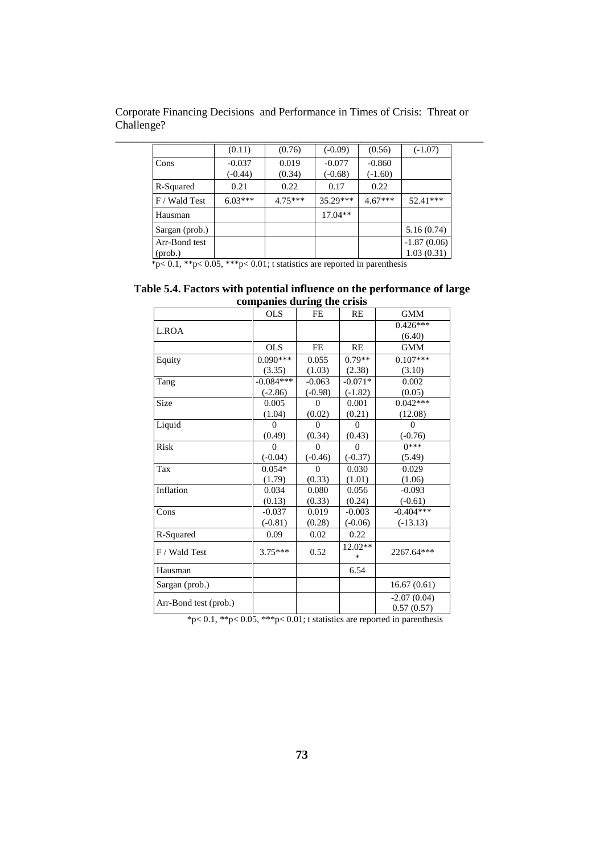Corporate Financing Decisions and Performance in Times of Crisis: Threat or Challenge?

|                          | (0.11)                | (0.76)          | $(-0.09)$             | (0.56)                | $(-1.07)$                   |
|--------------------------|-----------------------|-----------------|-----------------------|-----------------------|-----------------------------|
| Cons                     | $-0.037$<br>$(-0.44)$ | 0.019<br>(0.34) | $-0.077$<br>$(-0.68)$ | $-0.860$<br>$(-1.60)$ |                             |
| R-Squared                | 0.21                  | 0.22            | 0.17                  | 0.22                  |                             |
| F / Wald Test            | $6.03***$             | $4.75***$       | $35.29***$            | $4.67***$             | $52.41***$                  |
| Hausman                  |                       |                 | $17.04**$             |                       |                             |
| Sargan (prob.)           |                       |                 |                       |                       | 5.16(0.74)                  |
| Arr-Bond test<br>(prob.) |                       |                 |                       |                       | $-1.87(0.06)$<br>1.03(0.31) |

 $*p< 0.1, **p< 0.05, ***p< 0.01$ ; t statistics are reported in parenthesis

**Table 5.4. Factors with potential influence on the performance of large companies during the crisis**

|                       | <b>OLS</b>  | FE        | RE                | <b>GMM</b>                  |
|-----------------------|-------------|-----------|-------------------|-----------------------------|
| L.ROA                 |             |           |                   | $0.426***$                  |
|                       |             |           |                   | (6.40)                      |
|                       | <b>OLS</b>  | FE        | RE                | <b>GMM</b>                  |
| Equity                | $0.090***$  | 0.055     | $0.79**$          | $0.107***$                  |
|                       | (3.35)      | (1.03)    | (2.38)            | (3.10)                      |
| Tang                  | $-0.084***$ | $-0.063$  | $-0.071*$         | 0.002                       |
|                       | $(-2.86)$   | $(-0.98)$ | $(-1.82)$         | (0.05)                      |
| Size                  | 0.005       | 0         | 0.001             | $0.042***$                  |
|                       | (1.04)      | (0.02)    | (0.21)            | (12.08)                     |
| Liquid                | $\theta$    | $\theta$  | $\theta$          | $\theta$                    |
|                       | (0.49)      | (0.34)    | (0.43)            | $(-0.76)$                   |
| <b>Risk</b>           | $\theta$    | $\Omega$  | $\Omega$          | $0***$                      |
|                       | $(-0.04)$   | $(-0.46)$ | $(-0.37)$         | (5.49)                      |
| Tax                   | $0.054*$    | 0         | 0.030             | 0.029                       |
|                       | (1.79)      | (0.33)    | (1.01)            | (1.06)                      |
| Inflation             | 0.034       | 0.080     | 0.056             | $-0.093$                    |
|                       | (0.13)      | (0.33)    | (0.24)            | $(-0.61)$                   |
| Cons                  | $-0.037$    | 0.019     | $-0.003$          | $-0.404***$                 |
|                       | $(-0.81)$   | (0.28)    | $(-0.06)$         | $(-13.13)$                  |
| R-Squared             | 0.09        | 0.02      | 0.22              |                             |
| F / Wald Test         | $3.75***$   | 0.52      | 12.02**<br>$\ast$ | 2267.64***                  |
| Hausman               |             |           | 6.54              |                             |
| Sargan (prob.)        |             |           |                   | 16.67(0.61)                 |
| Arr-Bond test (prob.) |             |           |                   | $-2.07(0.04)$<br>0.57(0.57) |
|                       |             |           |                   |                             |

\*p< 0.1, \*\*p< 0.05, \*\*\*p< 0.01; t statistics are reported in parenthesis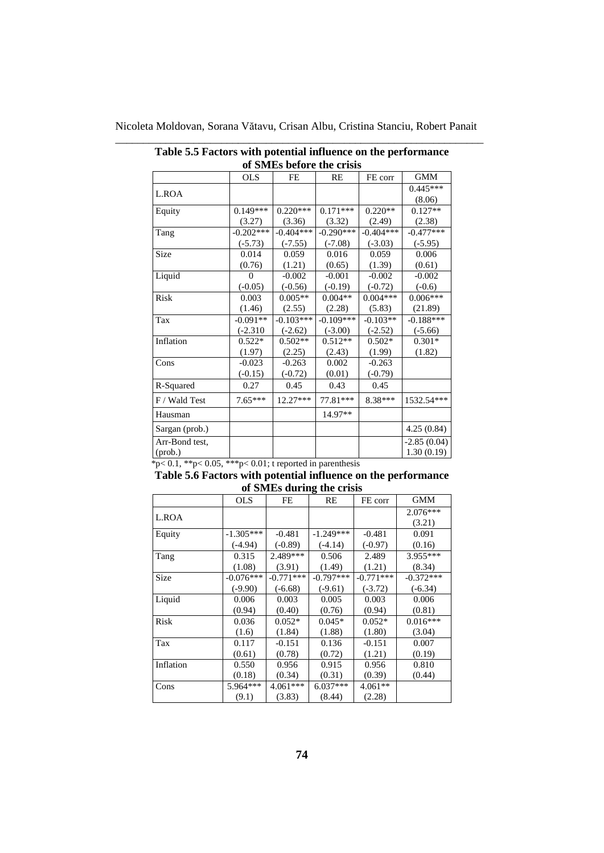| of SMEs before the crisis |             |             |             |             |               |  |  |
|---------------------------|-------------|-------------|-------------|-------------|---------------|--|--|
|                           | <b>OLS</b>  | FE          | RE          | FE corr     | <b>GMM</b>    |  |  |
| L.ROA                     |             |             |             |             | $0.445***$    |  |  |
|                           |             |             |             |             | (8.06)        |  |  |
| Equity                    | $0.149***$  | $0.220***$  | $0.171***$  | $0.220**$   | $0.127**$     |  |  |
|                           | (3.27)      | (3.36)      | (3.32)      | (2.49)      | (2.38)        |  |  |
| Tang                      | $-0.202***$ | $-0.404***$ | $-0.290***$ | $-0.404***$ | $-0.477***$   |  |  |
|                           | $(-5.73)$   | $(-7.55)$   | $(-7.08)$   | $(-3.03)$   | $(-5.95)$     |  |  |
| Size                      | 0.014       | 0.059       | 0.016       | 0.059       | 0.006         |  |  |
|                           | (0.76)      | (1.21)      | (0.65)      | (1.39)      | (0.61)        |  |  |
| Liquid                    | $\Omega$    | $-0.002$    | $-0.001$    | $-0.002$    | $-0.002$      |  |  |
|                           | $(-0.05)$   | $(-0.56)$   | $(-0.19)$   | $(-0.72)$   | $(-0.6)$      |  |  |
| Risk                      | 0.003       | $0.005**$   | $0.004**$   | $0.004***$  | $0.006***$    |  |  |
|                           | (1.46)      | (2.55)      | (2.28)      | (5.83)      | (21.89)       |  |  |
| Tax                       | $-0.091**$  | $-0.103***$ | $-0.109***$ | $-0.103**$  | $-0.188***$   |  |  |
|                           | $(-2.310)$  | $(-2.62)$   | $(-3.00)$   | $(-2.52)$   | $(-5.66)$     |  |  |
| Inflation                 | $0.522*$    | $0.502**$   | $0.512**$   | $0.502*$    | $0.301*$      |  |  |
|                           | (1.97)      | (2.25)      | (2.43)      | (1.99)      | (1.82)        |  |  |
| Cons                      | $-0.023$    | $-0.263$    | 0.002       | $-0.263$    |               |  |  |
|                           | $(-0.15)$   | $(-0.72)$   | (0.01)      | $(-0.79)$   |               |  |  |
| R-Squared                 | 0.27        | 0.45        | 0.43        | 0.45        |               |  |  |
| F / Wald Test             | $7.65***$   | $12.27***$  | 77.81***    | 8.38***     | 1532.54***    |  |  |
| Hausman                   |             |             | 14.97**     |             |               |  |  |
| Sargan (prob.)            |             |             |             |             | 4.25(0.84)    |  |  |
| Arr-Bond test,            |             |             |             |             | $-2.85(0.04)$ |  |  |
| $(prob.)$                 |             |             |             |             | 1.30(0.19)    |  |  |

Nicoleta Moldovan, Sorana Vătavu, Crisan Albu, Cristina Stanciu, Robert Panait \_\_\_\_\_\_\_\_\_\_\_\_\_\_\_\_\_\_\_\_\_\_\_\_\_\_\_\_\_\_\_\_\_\_\_\_\_\_\_\_\_\_\_\_\_\_\_\_\_\_\_\_\_\_\_\_\_\_\_\_\_\_\_\_\_\_

**Table 5.5 Factors with potential influence on the performance**

 $*p< 0.1, **p< 0.05, ***p< 0.01$ ; t reported in parenthesis

| Table 5.6 Factors with potential influence on the performance |                           |  |
|---------------------------------------------------------------|---------------------------|--|
|                                                               | of SMEs during the crisis |  |

|           | <b>OLS</b>  | FE          | RE          | FE corr     | <b>GMM</b>  |
|-----------|-------------|-------------|-------------|-------------|-------------|
|           |             |             |             |             | 2.076***    |
| L.ROA     |             |             |             |             | (3.21)      |
| Equity    | $-1.305***$ | $-0.481$    | $-1.249***$ | $-0.481$    | 0.091       |
|           | $(-4.94)$   | $(-0.89)$   | $(-4.14)$   | $(-0.97)$   | (0.16)      |
| Tang      | 0.315       | 2.489***    | 0.506       | 2.489       | 3.955***    |
|           | (1.08)      | (3.91)      | (1.49)      | (1.21)      | (8.34)      |
| Size      | $-0.076***$ | $-0.771***$ | $-0.797***$ | $-0.771***$ | $-0.372***$ |
|           | $(-9.90)$   | $(-6.68)$   | $(-9.61)$   | $(-3.72)$   | $(-6.34)$   |
| Liquid    | 0.006       | 0.003       | 0.005       | 0.003       | 0.006       |
|           | (0.94)      | (0.40)      | (0.76)      | (0.94)      | (0.81)      |
| Risk      | 0.036       | $0.052*$    | $0.045*$    | $0.052*$    | $0.016***$  |
|           | (1.6)       | (1.84)      | (1.88)      | (1.80)      | (3.04)      |
| Tax       | 0.117       | $-0.151$    | 0.136       | $-0.151$    | 0.007       |
|           | (0.61)      | (0.78)      | (0.72)      | (1.21)      | (0.19)      |
| Inflation | 0.550       | 0.956       | 0.915       | 0.956       | 0.810       |
|           | (0.18)      | (0.34)      | (0.31)      | (0.39)      | (0.44)      |
| Cons      | 5.964***    | $4.061***$  | 6.037***    | $4.061**$   |             |
|           | (9.1)       | (3.83)      | (8.44)      | (2.28)      |             |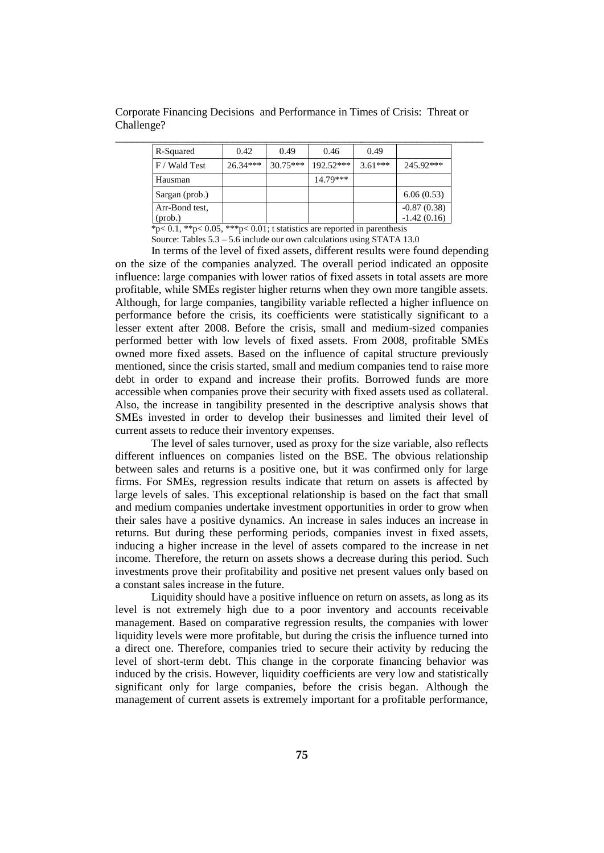Corporate Financing Decisions and Performance in Times of Crisis: Threat or Challenge?

| R-Squared      | 0.42       | 0.49       | 0.46        | 0.49      |               |
|----------------|------------|------------|-------------|-----------|---------------|
| F / Wald Test  | $26.34***$ | $30.75***$ | $192.52***$ | $3.61***$ | 245.92***     |
| Hausman        |            |            | $14.79***$  |           |               |
| Sargan (prob.) |            |            |             |           | 6.06(0.53)    |
| Arr-Bond test, |            |            |             |           | $-0.87(0.38)$ |
| (prob.)        |            |            |             |           | $-1.42(0.16)$ |

 $*_{p< 0.1}$ ,  $*_{p< 0.05}$ ,  $*_{p< 0.01}$ ; t statistics are reported in parenthesis Source: Tables  $5.3 - 5.6$  include our own calculations using STATA 13.0

In terms of the level of fixed assets, different results were found depending on the size of the companies analyzed. The overall period indicated an opposite influence: large companies with lower ratios of fixed assets in total assets are more profitable, while SMEs register higher returns when they own more tangible assets. Although, for large companies, tangibility variable reflected a higher influence on performance before the crisis, its coefficients were statistically significant to a lesser extent after 2008. Before the crisis, small and medium-sized companies performed better with low levels of fixed assets. From 2008, profitable SMEs owned more fixed assets. Based on the influence of capital structure previously mentioned, since the crisis started, small and medium companies tend to raise more debt in order to expand and increase their profits. Borrowed funds are more accessible when companies prove their security with fixed assets used as collateral. Also, the increase in tangibility presented in the descriptive analysis shows that SMEs invested in order to develop their businesses and limited their level of current assets to reduce their inventory expenses.

The level of sales turnover, used as proxy for the size variable, also reflects different influences on companies listed on the BSE. The obvious relationship between sales and returns is a positive one, but it was confirmed only for large firms. For SMEs, regression results indicate that return on assets is affected by large levels of sales. This exceptional relationship is based on the fact that small and medium companies undertake investment opportunities in order to grow when their sales have a positive dynamics. An increase in sales induces an increase in returns. But during these performing periods, companies invest in fixed assets, inducing a higher increase in the level of assets compared to the increase in net income. Therefore, the return on assets shows a decrease during this period. Such investments prove their profitability and positive net present values only based on a constant sales increase in the future.

Liquidity should have a positive influence on return on assets, as long as its level is not extremely high due to a poor inventory and accounts receivable management. Based on comparative regression results, the companies with lower liquidity levels were more profitable, but during the crisis the influence turned into a direct one. Therefore, companies tried to secure their activity by reducing the level of short-term debt. This change in the corporate financing behavior was induced by the crisis. However, liquidity coefficients are very low and statistically significant only for large companies, before the crisis began. Although the management of current assets is extremely important for a profitable performance,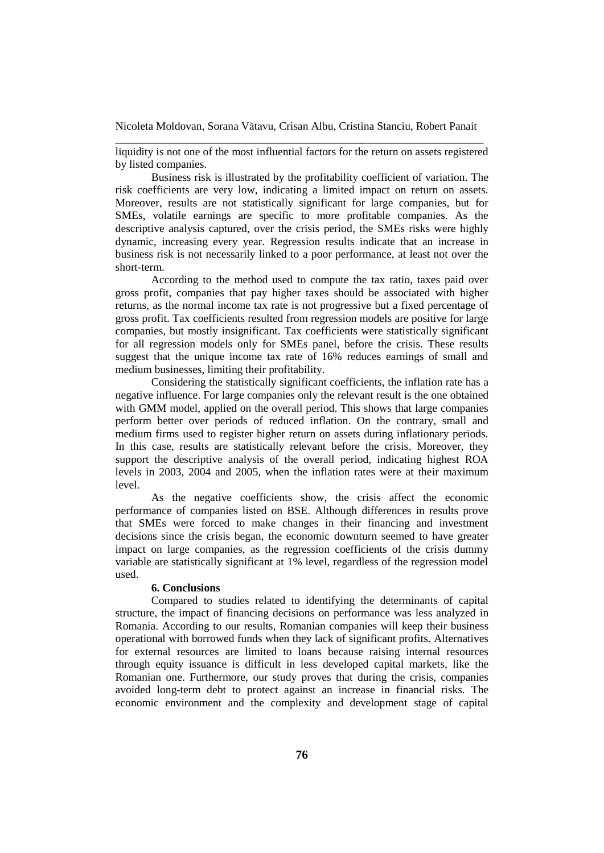liquidity is not one of the most influential factors for the return on assets registered by listed companies.

Business risk is illustrated by the profitability coefficient of variation. The risk coefficients are very low, indicating a limited impact on return on assets. Moreover, results are not statistically significant for large companies, but for SMEs, volatile earnings are specific to more profitable companies. As the descriptive analysis captured, over the crisis period, the SMEs risks were highly dynamic, increasing every year. Regression results indicate that an increase in business risk is not necessarily linked to a poor performance, at least not over the short-term.

According to the method used to compute the tax ratio, taxes paid over gross profit, companies that pay higher taxes should be associated with higher returns, as the normal income tax rate is not progressive but a fixed percentage of gross profit. Tax coefficients resulted from regression models are positive for large companies, but mostly insignificant. Tax coefficients were statistically significant for all regression models only for SMEs panel, before the crisis. These results suggest that the unique income tax rate of 16% reduces earnings of small and medium businesses, limiting their profitability.

Considering the statistically significant coefficients, the inflation rate has a negative influence. For large companies only the relevant result is the one obtained with GMM model, applied on the overall period. This shows that large companies perform better over periods of reduced inflation. On the contrary, small and medium firms used to register higher return on assets during inflationary periods. In this case, results are statistically relevant before the crisis. Moreover, they support the descriptive analysis of the overall period, indicating highest ROA levels in 2003, 2004 and 2005, when the inflation rates were at their maximum level.

As the negative coefficients show, the crisis affect the economic performance of companies listed on BSE. Although differences in results prove that SMEs were forced to make changes in their financing and investment decisions since the crisis began, the economic downturn seemed to have greater impact on large companies, as the regression coefficients of the crisis dummy variable are statistically significant at 1% level, regardless of the regression model used.

### **6. Conclusions**

Compared to studies related to identifying the determinants of capital structure, the impact of financing decisions on performance was less analyzed in Romania. According to our results, Romanian companies will keep their business operational with borrowed funds when they lack of significant profits. Alternatives for external resources are limited to loans because raising internal resources through equity issuance is difficult in less developed capital markets, like the Romanian one. Furthermore, our study proves that during the crisis, companies avoided long-term debt to protect against an increase in financial risks. The economic environment and the complexity and development stage of capital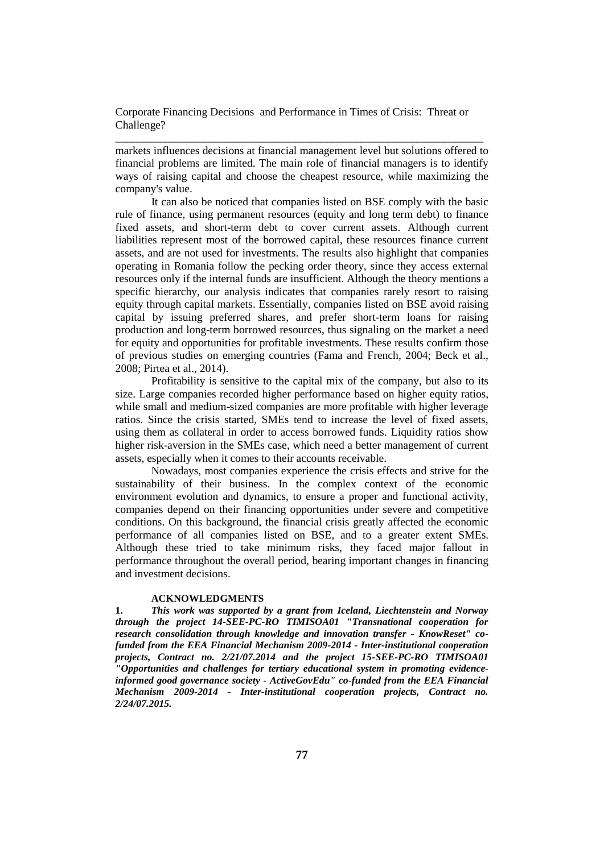markets influences decisions at financial management level but solutions offered to financial problems are limited. The main role of financial managers is to identify ways of raising capital and choose the cheapest resource, while maximizing the company's value.

\_\_\_\_\_\_\_\_\_\_\_\_\_\_\_\_\_\_\_\_\_\_\_\_\_\_\_\_\_\_\_\_\_\_\_\_\_\_\_\_\_\_\_\_\_\_\_\_\_\_\_\_\_\_\_\_\_\_\_\_\_\_\_\_\_\_

It can also be noticed that companies listed on BSE comply with the basic rule of finance, using permanent resources (equity and long term debt) to finance fixed assets, and short-term debt to cover current assets. Although current liabilities represent most of the borrowed capital, these resources finance current assets, and are not used for investments. The results also highlight that companies operating in Romania follow the pecking order theory, since they access external resources only if the internal funds are insufficient. Although the theory mentions a specific hierarchy, our analysis indicates that companies rarely resort to raising equity through capital markets. Essentially, companies listed on BSE avoid raising capital by issuing preferred shares, and prefer short-term loans for raising production and long-term borrowed resources, thus signaling on the market a need for equity and opportunities for profitable investments. These results confirm those of previous studies on emerging countries (Fama and French, 2004; Beck et al., 2008; Pirtea et al., 2014).

Profitability is sensitive to the capital mix of the company, but also to its size. Large companies recorded higher performance based on higher equity ratios, while small and medium-sized companies are more profitable with higher leverage ratios. Since the crisis started, SMEs tend to increase the level of fixed assets, using them as collateral in order to access borrowed funds. Liquidity ratios show higher risk-aversion in the SMEs case, which need a better management of current assets, especially when it comes to their accounts receivable.

Nowadays, most companies experience the crisis effects and strive for the sustainability of their business. In the complex context of the economic environment evolution and dynamics, to ensure a proper and functional activity, companies depend on their financing opportunities under severe and competitive conditions. On this background, the financial crisis greatly affected the economic performance of all companies listed on BSE, and to a greater extent SMEs. Although these tried to take minimum risks, they faced major fallout in performance throughout the overall period, bearing important changes in financing and investment decisions.

#### **ACKNOWLEDGMENTS**

**1.** *This work was supported by a grant from Iceland, Liechtenstein and Norway through the project 14-SEE-PC-RO TIMISOA01 "Transnational cooperation for research consolidation through knowledge and innovation transfer - KnowReset" cofunded from the EEA Financial Mechanism 2009-2014 - Inter-institutional cooperation projects, Contract no. 2/21/07.2014 and the project 15-SEE-PC-RO TIMISOA01 "Opportunities and challenges for tertiary educational system in promoting evidenceinformed good governance society - ActiveGovEdu" co-funded from the EEA Financial Mechanism 2009-2014 - Inter-institutional cooperation projects, Contract no. 2/24/07.2015.*